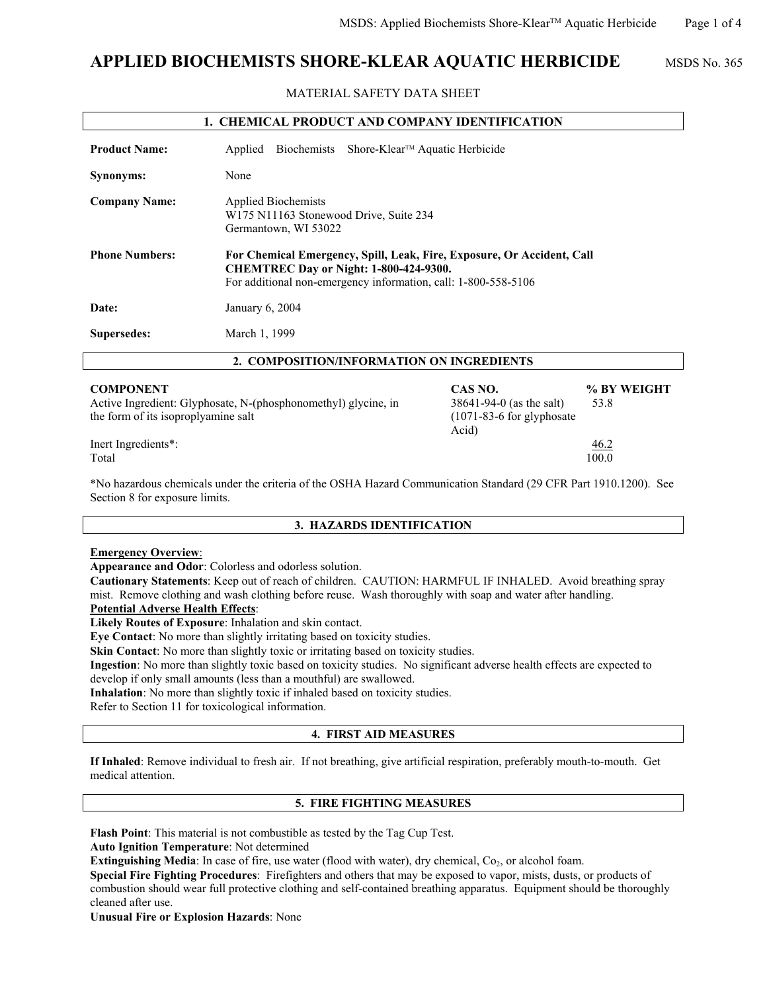# **APPLIED BIOCHEMISTS SHORE-KLEAR AQUATIC HERBICIDE** MSDS No. 365

MATERIAL SAFETY DATA SHEET

| <b>1. CHEMICAL PRODUCT AND COMPANY IDENTIFICATION</b>                                                                     |                                                                                                                                                                                           |                                                                    |                     |
|---------------------------------------------------------------------------------------------------------------------------|-------------------------------------------------------------------------------------------------------------------------------------------------------------------------------------------|--------------------------------------------------------------------|---------------------|
| <b>Product Name:</b>                                                                                                      | Biochemists<br>Applied                                                                                                                                                                    | Shore-Klear <sup>™</sup> Aquatic Herbicide                         |                     |
| Synonyms:                                                                                                                 | None                                                                                                                                                                                      |                                                                    |                     |
| <b>Company Name:</b>                                                                                                      | <b>Applied Biochemists</b><br>W175 N11163 Stonewood Drive, Suite 234<br>Germantown, WI 53022                                                                                              |                                                                    |                     |
| <b>Phone Numbers:</b>                                                                                                     | For Chemical Emergency, Spill, Leak, Fire, Exposure, Or Accident, Call<br><b>CHEMTREC Day or Night: 1-800-424-9300.</b><br>For additional non-emergency information, call: 1-800-558-5106 |                                                                    |                     |
| Date:                                                                                                                     | January 6, 2004                                                                                                                                                                           |                                                                    |                     |
| Supersedes:                                                                                                               | March 1, 1999                                                                                                                                                                             |                                                                    |                     |
|                                                                                                                           | 2. COMPOSITION/INFORMATION ON INGREDIENTS                                                                                                                                                 |                                                                    |                     |
| <b>COMPONENT</b><br>Active Ingredient: Glyphosate, N-(phosphonomethyl) glycine, in<br>the form of its isoproplyamine salt |                                                                                                                                                                                           | CAS NO.<br>38641-94-0 (as the salt)<br>$(1071-83-6$ for glyphosate | % BY WEIGHT<br>53.8 |

Inert Ingredients\*: 46.2

Total 100.0

\*No hazardous chemicals under the criteria of the OSHA Hazard Communication Standard (29 CFR Part 1910.1200). See Section 8 for exposure limits.

Acid)

#### **3. HAZARDS IDENTIFICATION**

#### **Emergency Overview**:

**Appearance and Odor**: Colorless and odorless solution.

**Cautionary Statements**: Keep out of reach of children. CAUTION: HARMFUL IF INHALED. Avoid breathing spray mist. Remove clothing and wash clothing before reuse. Wash thoroughly with soap and water after handling.

**Potential Adverse Health Effects**:

**Likely Routes of Exposure**: Inhalation and skin contact.

**Eye Contact**: No more than slightly irritating based on toxicity studies.

**Skin Contact:** No more than slightly toxic or irritating based on toxicity studies.

**Ingestion**: No more than slightly toxic based on toxicity studies. No significant adverse health effects are expected to develop if only small amounts (less than a mouthful) are swallowed.

**Inhalation**: No more than slightly toxic if inhaled based on toxicity studies.

Refer to Section 11 for toxicological information.

#### **4. FIRST AID MEASURES**

**If Inhaled**: Remove individual to fresh air. If not breathing, give artificial respiration, preferably mouth-to-mouth. Get medical attention.

## **5. FIRE FIGHTING MEASURES**

**Flash Point**: This material is not combustible as tested by the Tag Cup Test.

**Auto Ignition Temperature**: Not determined

**Extinguishing Media**: In case of fire, use water (flood with water), dry chemical, Co<sub>2</sub>, or alcohol foam.

**Special Fire Fighting Procedures**: Firefighters and others that may be exposed to vapor, mists, dusts, or products of combustion should wear full protective clothing and self-contained breathing apparatus. Equipment should be thoroughly cleaned after use.

**Unusual Fire or Explosion Hazards**: None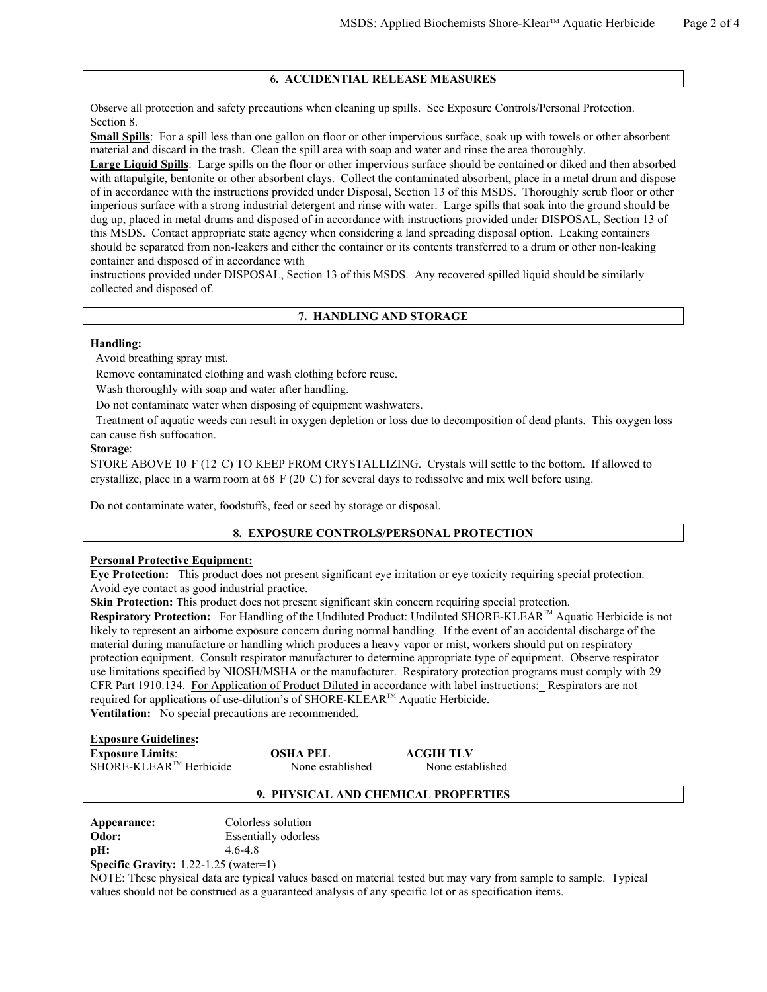#### **6. ACCIDENTIAL RELEASE MEASURES**

Observe all protection and safety precautions when cleaning up spills. See Exposure Controls/Personal Protection. Section 8.

**Small Spills**: For a spill less than one gallon on floor or other impervious surface, soak up with towels or other absorbent material and discard in the trash. Clean the spill area with soap and water and rinse the area thoroughly.

**Large Liquid Spills**: Large spills on the floor or other impervious surface should be contained or diked and then absorbed with attapulgite, bentonite or other absorbent clays. Collect the contaminated absorbent, place in a metal drum and dispose of in accordance with the instructions provided under Disposal, Section 13 of this MSDS. Thoroughly scrub floor or other imperious surface with a strong industrial detergent and rinse with water. Large spills that soak into the ground should be dug up, placed in metal drums and disposed of in accordance with instructions provided under DISPOSAL, Section 13 of this MSDS. Contact appropriate state agency when considering a land spreading disposal option. Leaking containers should be separated from non-leakers and either the container or its contents transferred to a drum or other non-leaking container and disposed of in accordance with

instructions provided under DISPOSAL, Section 13 of this MSDS. Any recovered spilled liquid should be similarly collected and disposed of.

#### **7. HANDLING AND STORAGE**

#### **Handling:**

Avoid breathing spray mist.

Remove contaminated clothing and wash clothing before reuse.

Wash thoroughly with soap and water after handling.

Do not contaminate water when disposing of equipment washwaters.

Treatment of aquatic weeds can result in oxygen depletion or loss due to decomposition of dead plants. This oxygen loss can cause fish suffocation.

#### **Storage**:

STORE ABOVE 10 F (12 C) TO KEEP FROM CRYSTALLIZING. Crystals will settle to the bottom. If allowed to crystallize, place in a warm room at 68 F (20 C) for several days to redissolve and mix well before using.

Do not contaminate water, foodstuffs, feed or seed by storage or disposal.

#### **8. EXPOSURE CONTROLS/PERSONAL PROTECTION**

#### **Personal Protective Equipment:**

**Eye Protection:** This product does not present significant eye irritation or eye toxicity requiring special protection. Avoid eye contact as good industrial practice.

**Skin Protection:** This product does not present significant skin concern requiring special protection.

**Respiratory Protection:** For Handling of the Undiluted Product: Undiluted SHORE-KLEARTM Aquatic Herbicide is not likely to represent an airborne exposure concern during normal handling. If the event of an accidental discharge of the material during manufacture or handling which produces a heavy vapor or mist, workers should put on respiratory protection equipment. Consult respirator manufacturer to determine appropriate type of equipment. Observe respirator use limitations specified by NIOSH/MSHA or the manufacturer. Respiratory protection programs must comply with 29 CFR Part 1910.134. For Application of Product Diluted in accordance with label instructions: Respirators are not required for applications of use-dilution's of SHORE-KLEARTM Aquatic Herbicide. **Ventilation:** No special precautions are recommended.

**Exposure Guidelines:** 

| <b>Exposure Limits:</b>   | <b>OSHA PEL</b>  | <b>ACGIH TLV</b> |
|---------------------------|------------------|------------------|
| $SHORE-KLEARTM$ Herbicide | None established | None established |

#### **9. PHYSICAL AND CHEMICAL PROPERTIES**

**Appearance:** Colorless solution **Odor:** Essentially odorless **pH:** 4.6-4.8 **Specific Gravity:** 1.22-1.25 (water=1)

NOTE: These physical data are typical values based on material tested but may vary from sample to sample. Typical values should not be construed as a guaranteed analysis of any specific lot or as specification items.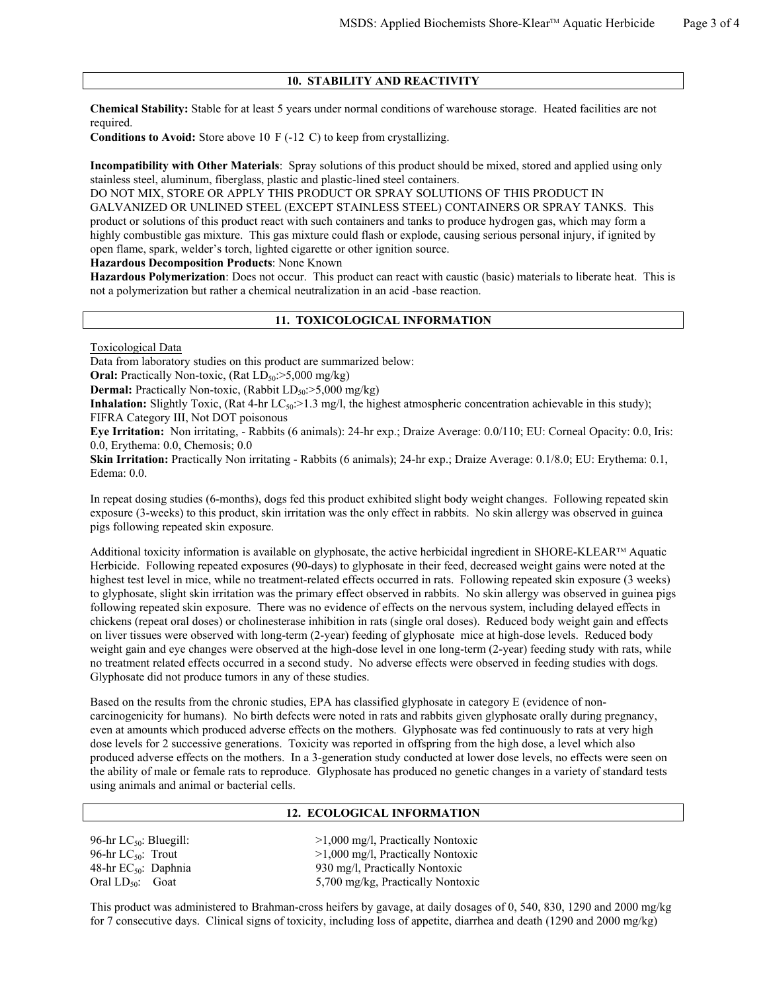## **10. STABILITY AND REACTIVITY**

**Chemical Stability:** Stable for at least 5 years under normal conditions of warehouse storage. Heated facilities are not required

**Conditions to Avoid:** Store above 10 F (-12 C) to keep from crystallizing.

**Incompatibility with Other Materials**: Spray solutions of this product should be mixed, stored and applied using only stainless steel, aluminum, fiberglass, plastic and plastic-lined steel containers.

DO NOT MIX, STORE OR APPLY THIS PRODUCT OR SPRAY SOLUTIONS OF THIS PRODUCT IN GALVANIZED OR UNLINED STEEL (EXCEPT STAINLESS STEEL) CONTAINERS OR SPRAY TANKS. This product or solutions of this product react with such containers and tanks to produce hydrogen gas, which may form a highly combustible gas mixture. This gas mixture could flash or explode, causing serious personal injury, if ignited by open flame, spark, welder's torch, lighted cigarette or other ignition source.

**Hazardous Decomposition Products**: None Known

**Hazardous Polymerization**: Does not occur. This product can react with caustic (basic) materials to liberate heat. This is not a polymerization but rather a chemical neutralization in an acid -base reaction.

#### **11. TOXICOLOGICAL INFORMATION**

Toxicological Data

Data from laboratory studies on this product are summarized below:

**Oral:** Practically Non-toxic, (Rat  $LD_{50}$ : >5,000 mg/kg)

**Dermal:** Practically Non-toxic, (Rabbit  $LD_{50}$ : $>5,000$  mg/kg)

**Inhalation:** Slightly Toxic, (Rat 4-hr  $LC_{50}$ :>1.3 mg/l, the highest atmospheric concentration achievable in this study); FIFRA Category III, Not DOT poisonous

**Eye Irritation:** Non irritating, - Rabbits (6 animals): 24-hr exp.; Draize Average: 0.0/110; EU: Corneal Opacity: 0.0, Iris: 0.0, Erythema: 0.0, Chemosis; 0.0

**Skin Irritation:** Practically Non irritating - Rabbits (6 animals); 24-hr exp.; Draize Average: 0.1/8.0; EU: Erythema: 0.1, Edema: 0.0.

In repeat dosing studies (6-months), dogs fed this product exhibited slight body weight changes. Following repeated skin exposure (3-weeks) to this product, skin irritation was the only effect in rabbits. No skin allergy was observed in guinea pigs following repeated skin exposure.

Additional toxicity information is available on glyphosate, the active herbicidal ingredient in SHORE-KLEARTM Aquatic Herbicide. Following repeated exposures (90-days) to glyphosate in their feed, decreased weight gains were noted at the highest test level in mice, while no treatment-related effects occurred in rats. Following repeated skin exposure (3 weeks) to glyphosate, slight skin irritation was the primary effect observed in rabbits. No skin allergy was observed in guinea pigs following repeated skin exposure. There was no evidence of effects on the nervous system, including delayed effects in chickens (repeat oral doses) or cholinesterase inhibition in rats (single oral doses). Reduced body weight gain and effects on liver tissues were observed with long-term (2-year) feeding of glyphosate mice at high-dose levels. Reduced body weight gain and eye changes were observed at the high-dose level in one long-term (2-year) feeding study with rats, while no treatment related effects occurred in a second study. No adverse effects were observed in feeding studies with dogs. Glyphosate did not produce tumors in any of these studies.

Based on the results from the chronic studies, EPA has classified glyphosate in category E (evidence of noncarcinogenicity for humans). No birth defects were noted in rats and rabbits given glyphosate orally during pregnancy, even at amounts which produced adverse effects on the mothers. Glyphosate was fed continuously to rats at very high dose levels for 2 successive generations. Toxicity was reported in offspring from the high dose, a level which also produced adverse effects on the mothers. In a 3-generation study conducted at lower dose levels, no effects were seen on the ability of male or female rats to reproduce. Glyphosate has produced no genetic changes in a variety of standard tests using animals and animal or bacterial cells.

#### **12. ECOLOGICAL INFORMATION**

96-hr LC<sub>50</sub>: Bluegill:  $>1,000 \text{ mg/l}$ , Practically Nontoxic  $>1,000 \text{ mg/l}$ , Practically Nontoxic  $>1,000 \text{ mg/l}$ , Practically Nontoxic 96-hr LC<sub>50</sub>: Trout  $>1,000$  mg/l, Practically Nontoxic 48-hr EC<sub>50</sub>: Daphnia 930 mg/l, Practically Nontoxic 930 mg/l, Practically Nontoxic Oral LD<sub>50</sub>: Goat 5,700 mg/kg, Practically Nontoxic

This product was administered to Brahman-cross heifers by gavage, at daily dosages of 0, 540, 830, 1290 and 2000 mg/kg for 7 consecutive days. Clinical signs of toxicity, including loss of appetite, diarrhea and death (1290 and 2000 mg/kg)